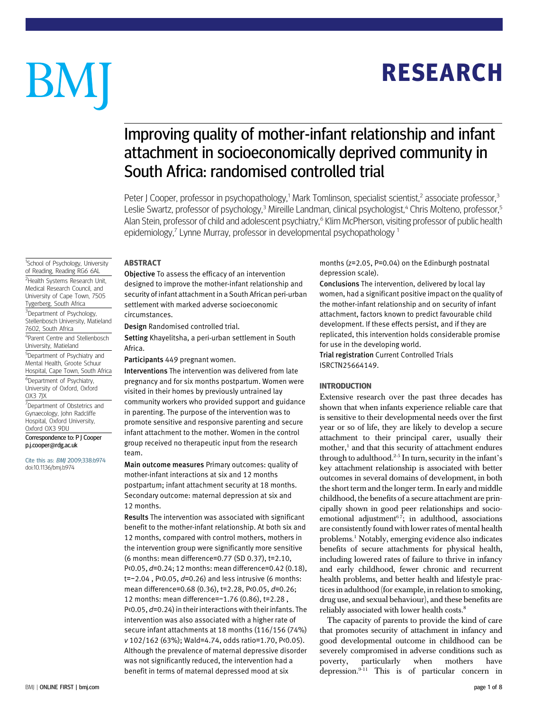## RESEARCH

# BM

### Improving quality of mother-infant relationship and infant attachment in socioeconomically deprived community in South Africa: randomised controlled trial

Peter J Cooper, professor in psychopathology,<sup>1</sup> Mark Tomlinson, specialist scientist,<sup>2</sup> associate professor,<sup>3</sup> Leslie Swartz, professor of psychology,<sup>3</sup> Mireille Landman, clinical psychologist,<sup>4</sup> Chris Molteno, professor,<sup>5</sup> Alan Stein, professor of child and adolescent psychiatry,<sup>6</sup> Klim McPherson, visiting professor of public health epidemiology,<sup>7</sup> Lynne Murray, professor in developmental psychopathology<sup>1</sup>

#### ABSTRACT

Objective To assess the efficacy of an intervention designed to improve the mother-infant relationship and security of infant attachment in a South African peri-urban settlement with marked adverse socioeconomic circumstances.

Design Randomised controlled trial.

Setting Khayelitsha, a peri-urban settlement in South Africa.

Participants 449 pregnant women.

Interventions The intervention was delivered from late pregnancy and for six months postpartum. Women were visited in their homes by previously untrained lay community workers who provided support and guidance in parenting. The purpose of the intervention was to promote sensitive and responsive parenting and secure infant attachment to the mother. Women in the control group received no therapeutic input from the research team.

Main outcome measures Primary outcomes: quality of mother-infant interactions at six and 12 months postpartum; infant attachment security at 18 months. Secondary outcome: maternal depression at six and 12 months.

Results The intervention was associated with significant benefit to the mother-infant relationship. At both six and 12 months, compared with control mothers, mothers in the intervention group were significantly more sensitive (6 months: mean difference=0.77 (SD 0.37), t=2.10, P<0.05, d=0.24; 12 months: mean difference=0.42 (0.18), t=−2.04 , P<0.05, d=0.26) and less intrusive (6 months: mean difference=0.68 (0.36), t=2.28, P<0.05, d=0.26; 12 months: mean difference=−1.76 (0.86), t=2.28 , P<0.05,  $d=0.24$ ) in their interactions with their infants. The intervention was also associated with a higher rate of secure infant attachments at 18 months (116/156 (74%) v 102/162 (63%); Wald=4.74, odds ratio=1.70, P<0.05). Although the prevalence of maternal depressive disorder was not significantly reduced, the intervention had a benefit in terms of maternal depressed mood at six

months (z=2.05, P=0.04) on the Edinburgh postnatal depression scale).

Conclusions The intervention, delivered by local lay women, had a significant positive impact on the quality of the mother-infant relationship and on security of infant attachment, factors known to predict favourable child development. If these effects persist, and if they are replicated, this intervention holds considerable promise for use in the developing world.

Trial registration Current Controlled Trials ISRCTN25664149.

#### INTRODUCTION

Extensive research over the past three decades has shown that when infants experience reliable care that is sensitive to their developmental needs over the first year or so of life, they are likely to develop a secure attachment to their principal carer, usually their mother,<sup>1</sup> and that this security of attachment endures through to adulthood.2-5 In turn, security in the infant's key attachment relationship is associated with better outcomes in several domains of development, in both the short term and the longer term. In early and middle childhood, the benefits of a secure attachment are principally shown in good peer relationships and socioemotional adjustment $67$ ; in adulthood, associations are consistently found with lower rates of mental health problems.1 Notably, emerging evidence also indicates benefits of secure attachments for physical health, including lowered rates of failure to thrive in infancy and early childhood, fewer chronic and recurrent health problems, and better health and lifestyle practices in adulthood (for example, in relation to smoking, drug use, and sexual behaviour), and these benefits are reliably associated with lower health costs.<sup>8</sup>

The capacity of parents to provide the kind of care that promotes security of attachment in infancy and good developmental outcome in childhood can be severely compromised in adverse conditions such as poverty, particularly when mothers have depression. $9-11$  This is of particular concern in

<sup>1</sup>School of Psychology, University of Reading, Reading RG6 6AL <sup>2</sup>Health Systems Research Unit, Medical Research Council, and University of Cape Town, 7505 Tygerberg, South Africa <sup>3</sup>Department of Psychology, Stellenbosch University, Matieland 7602, South Africa 4 Parent Centre and Stellenbosch University, Matieland 5 Department of Psychiatry and Mental Health, Groote Schuur Hospital, Cape Town, South Africa 6 Department of Psychiatry, University of Oxford, Oxford OX3 7JX

<sup>7</sup>Department of Obstetrics and Gynaecology, John Radcliffe Hospital, Oxford University, Oxford OX3 9DU

Correspondence to: P J Cooper p.j.cooper@rdg.ac.uk

Cite this as: BMJ 2009;338:b974 doi:10.1136/bmj.b974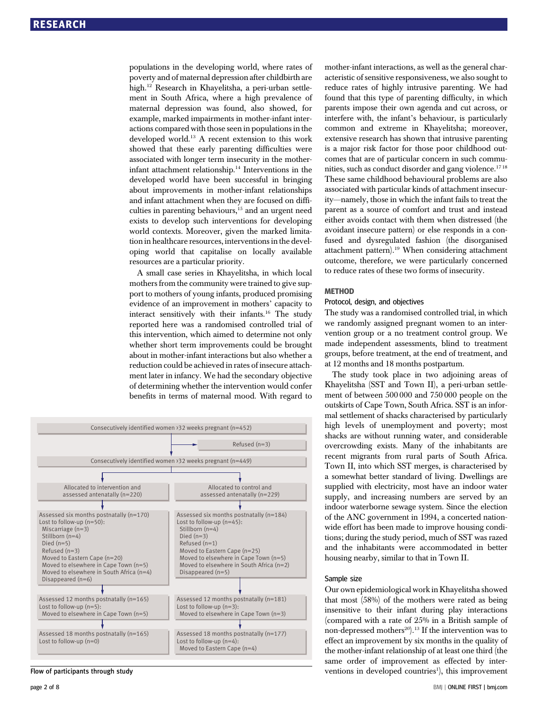populations in the developing world, where rates of poverty and of maternal depression after childbirth are high.<sup>12</sup> Research in Khayelitsha, a peri-urban settlement in South Africa, where a high prevalence of maternal depression was found, also showed, for example, marked impairments in mother-infant interactions compared with those seen in populations in the developed world.<sup>13</sup> A recent extension to this work showed that these early parenting difficulties were associated with longer term insecurity in the motherinfant attachment relationship.<sup>14</sup> Interventions in the developed world have been successful in bringing about improvements in mother-infant relationships and infant attachment when they are focused on difficulties in parenting behaviours, $15$  and an urgent need exists to develop such interventions for developing world contexts. Moreover, given the marked limitation in healthcare resources, interventions in the developing world that capitalise on locally available resources are a particular priority.

A small case series in Khayelitsha, in which local mothers from the community were trained to give support to mothers of young infants, produced promising evidence of an improvement in mothers' capacity to interact sensitively with their infants.<sup>16</sup> The study reported here was a randomised controlled trial of this intervention, which aimed to determine not only whether short term improvements could be brought about in mother-infant interactions but also whether a reduction could be achieved in rates of insecure attachment later in infancy. We had the secondary objective of determining whether the intervention would confer benefits in terms of maternal mood. With regard to



Flow of participants through study

mother-infant interactions, as well as the general characteristic of sensitive responsiveness, we also sought to reduce rates of highly intrusive parenting. We had found that this type of parenting difficulty, in which parents impose their own agenda and cut across, or interfere with, the infant's behaviour, is particularly common and extreme in Khayelitsha; moreover, extensive research has shown that intrusive parenting is a major risk factor for those poor childhood outcomes that are of particular concern in such communities, such as conduct disorder and gang violence.<sup>1718</sup> These same childhood behavioural problems are also associated with particular kinds of attachment insecurity—namely, those in which the infant fails to treat the parent as a source of comfort and trust and instead either avoids contact with them when distressed (the avoidant insecure pattern) or else responds in a confused and dysregulated fashion (the disorganised attachment pattern).<sup>19</sup> When considering attachment outcome, therefore, we were particularly concerned to reduce rates of these two forms of insecurity.

#### METHOD

#### Protocol, design, and objectives

The study was a randomised controlled trial, in which we randomly assigned pregnant women to an intervention group or a no treatment control group. We made independent assessments, blind to treatment groups, before treatment, at the end of treatment, and at 12 months and 18 months postpartum.

The study took place in two adjoining areas of Khayelitsha (SST and Town II), a peri-urban settlement of between 500 000 and 750 000 people on the outskirts of Cape Town, South Africa. SST is an informal settlement of shacks characterised by particularly high levels of unemployment and poverty; most shacks are without running water, and considerable overcrowding exists. Many of the inhabitants are recent migrants from rural parts of South Africa. Town II, into which SST merges, is characterised by a somewhat better standard of living. Dwellings are supplied with electricity, most have an indoor water supply, and increasing numbers are served by an indoor waterborne sewage system. Since the election of the ANC government in 1994, a concerted nationwide effort has been made to improve housing conditions; during the study period, much of SST was razed and the inhabitants were accommodated in better housing nearby, similar to that in Town II.

#### Sample size

Our own epidemiological work in Khayelitsha showed that most (58%) of the mothers were rated as being insensitive to their infant during play interactions (compared with a rate of 25% in a British sample of non-depressed mothers<sup>20</sup>).<sup>13</sup> If the intervention was to effect an improvement by six months in the quality of the mother-infant relationship of at least one third (the same order of improvement as effected by interventions in developed countries<sup>1</sup>), this improvement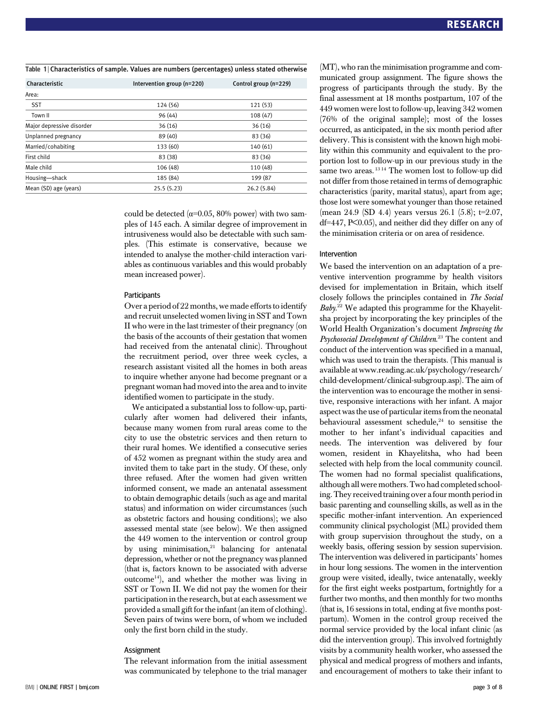Table 1 | Characteristics of sample. Values are numbers (percentages) unless stated otherwise

| Characteristic            | Intervention group (n=220) | Control group (n=229) |  |
|---------------------------|----------------------------|-----------------------|--|
| Area:                     |                            |                       |  |
| <b>SST</b>                | 124 (56)                   | 121 (53)              |  |
| Town II                   | 96 (44)                    | 108(47)               |  |
| Major depressive disorder | 36(16)                     | 36(16)                |  |
| Unplanned pregnancy       | 89 (40)                    | 83 (36)               |  |
| Married/cohabiting        | 133 (60)                   | 140 (61)              |  |
| First child               | 83 (38)                    | 83 (36)               |  |
| Male child                | 106 (48)                   | 110 (48)              |  |
| Housing-shack             | 185 (84)                   | 199 (87               |  |
| Mean (SD) age (years)     | 25.5(5.23)                 | 26.2(5.84)            |  |

could be detected ( $\alpha$ =0.05, 80% power) with two samples of 145 each. A similar degree of improvement in intrusiveness would also be detectable with such samples. (This estimate is conservative, because we intended to analyse the mother-child interaction variables as continuous variables and this would probably mean increased power).

#### **Participants**

Over a period of 22 months, we made efforts to identify and recruit unselected women living in SST and Town II who were in the last trimester of their pregnancy (on the basis of the accounts of their gestation that women had received from the antenatal clinic). Throughout the recruitment period, over three week cycles, a research assistant visited all the homes in both areas to inquire whether anyone had become pregnant or a pregnant woman had moved into the area and to invite identified women to participate in the study.

We anticipated a substantial loss to follow-up, particularly after women had delivered their infants, because many women from rural areas come to the city to use the obstetric services and then return to their rural homes. We identified a consecutive series of 452 women as pregnant within the study area and invited them to take part in the study. Of these, only three refused. After the women had given written informed consent, we made an antenatal assessment to obtain demographic details (such as age and marital status) and information on wider circumstances (such as obstetric factors and housing conditions); we also assessed mental state (see below). We then assigned the 449 women to the intervention or control group by using minimisation,<sup>21</sup> balancing for antenatal depression, whether or not the pregnancy was planned (that is, factors known to be associated with adverse outcome<sup>14</sup>), and whether the mother was living in SST or Town II. We did not pay the women for their participation in the research, but at each assessment we provided a small gift for the infant (an item of clothing). Seven pairs of twins were born, of whom we included only the first born child in the study.

#### **Assignment**

The relevant information from the initial assessment was communicated by telephone to the trial manager (MT), who ran the minimisation programme and communicated group assignment. The figure shows the progress of participants through the study. By the final assessment at 18 months postpartum, 107 of the 449 women were lost to follow-up, leaving 342 women (76% of the original sample); most of the losses occurred, as anticipated, in the six month period after delivery. This is consistent with the known high mobility within this community and equivalent to the proportion lost to follow-up in our previous study in the same two areas.<sup>1314</sup> The women lost to follow-up did not differ from those retained in terms of demographic characteristics (parity, marital status), apart from age; those lost were somewhat younger than those retained (mean 24.9 (SD 4.4) years versus 26.1 (5.8); t=2.07, df=447, P<0.05), and neither did they differ on any of the minimisation criteria or on area of residence.

#### Intervention

We based the intervention on an adaptation of a preventive intervention programme by health visitors devised for implementation in Britain, which itself closely follows the principles contained in The Social Baby.<sup>22</sup> We adapted this programme for the Khayelitsha project by incorporating the key principles of the World Health Organization's document Improving the Psychosocial Development of Children.<sup>23</sup> The content and conduct of the intervention was specified in a manual, which was used to train the therapists. (This manual is available at www.reading.ac.uk/psychology/research/ child-development/clinical-subgroup.asp). The aim of the intervention was to encourage the mother in sensitive, responsive interactions with her infant. A major aspect was the use of particular items from the neonatal behavioural assessment schedule, $24$  to sensitise the mother to her infant's individual capacities and needs. The intervention was delivered by four women, resident in Khayelitsha, who had been selected with help from the local community council. The women had no formal specialist qualifications, although all were mothers. Two had completed schooling. They received training over a four month period in basic parenting and counselling skills, as well as in the specific mother-infant intervention. An experienced community clinical psychologist (ML) provided them with group supervision throughout the study, on a weekly basis, offering session by session supervision. The intervention was delivered in participants' homes in hour long sessions. The women in the intervention group were visited, ideally, twice antenatally, weekly for the first eight weeks postpartum, fortnightly for a further two months, and then monthly for two months (that is, 16 sessions in total, ending at five months postpartum). Women in the control group received the normal service provided by the local infant clinic (as did the intervention group). This involved fortnightly visits by a community health worker, who assessed the physical and medical progress of mothers and infants, and encouragement of mothers to take their infant to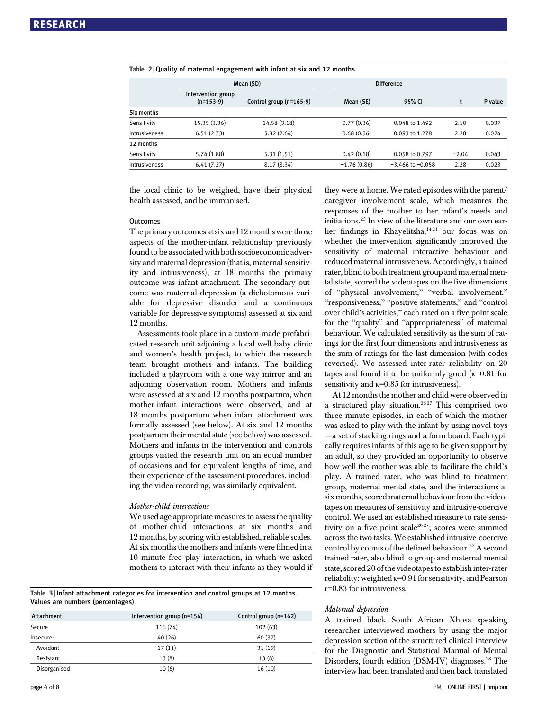|               | Mean (SD)                         |                         | <b>Difference</b> |                      |         |         |
|---------------|-----------------------------------|-------------------------|-------------------|----------------------|---------|---------|
|               | Intervention group<br>$(n=153-9)$ | Control group (n=165-9) | Mean (SE)         | 95% CI               |         | P value |
| Six months    |                                   |                         |                   |                      |         |         |
| Sensitivity   | 15.35 (3.36)                      | 14.58 (3.18)            | 0.77(0.36)        | 0.048 to 1.492       | 2.10    | 0.037   |
| Intrusiveness | 6.51(2.73)                        | 5.82(2.64)              | 0.68(0.36)        | 0.093 to 1.278       | 2.28    | 0.024   |
| 12 months     |                                   |                         |                   |                      |         |         |
| Sensitivity   | 5.74(1.88)                        | 5.31(1.51)              | 0.42(0.18)        | 0.058 to 0.797       | $-2.04$ | 0.043   |
| Intrusiveness | 6.41(7.27)                        | 8.17(8.34)              | $-1.76(0.86)$     | $-3.466$ to $-0.058$ | 2.28    | 0.023   |

#### $Table 2 |$  Quality of maternal engagement with infant at six and 12 months

the local clinic to be weighed, have their physical health assessed, and be immunised.

#### **Outcomes**

The primary outcomes at six and 12 months were those aspects of the mother-infant relationship previously found to be associated with both socioeconomic adversity and maternal depression (that is, maternal sensitivity and intrusiveness); at 18 months the primary outcome was infant attachment. The secondary outcome was maternal depression (a dichotomous variable for depressive disorder and a continuous variable for depressive symptoms) assessed at six and 12 months.

Assessments took place in a custom-made prefabricated research unit adjoining a local well baby clinic and women's health project, to which the research team brought mothers and infants. The building included a playroom with a one way mirror and an adjoining observation room. Mothers and infants were assessed at six and 12 months postpartum, when mother-infant interactions were observed, and at 18 months postpartum when infant attachment was formally assessed (see below). At six and 12 months postpartum their mental state (see below) was assessed. Mothers and infants in the intervention and controls groups visited the research unit on an equal number of occasions and for equivalent lengths of time, and their experience of the assessment procedures, including the video recording, was similarly equivalent.

#### Mother-child interactions

We used age appropriate measures to assess the quality of mother-child interactions at six months and 12 months, by scoring with established, reliable scales. At six months the mothers and infants were filmed in a 10 minute free play interaction, in which we asked mothers to interact with their infants as they would if

Table 3 | Infant attachment categories for intervention and control groups at 12 months. Values are numbers (percentages)

| Intervention group (n=156) | Control group (n=162) |  |
|----------------------------|-----------------------|--|
| 116 (74)                   | 102(63)               |  |
| 40 (26)                    | 60(37)                |  |
| 17(11)                     | 31 (19)               |  |
| 13(8)                      | 13(8)                 |  |
| 10(6)                      | 16(10)                |  |
|                            |                       |  |

they were at home. We rated episodes with the parent/ caregiver involvement scale, which measures the responses of the mother to her infant's needs and initiations.25 In view of the literature and our own earlier findings in Khayelitsha,<sup>1421</sup> our focus was on whether the intervention significantly improved the sensitivity of maternal interactive behaviour and reduced maternal intrusiveness. Accordingly, a trained rater, blind to both treatment group and maternal mental state, scored the videotapes on the five dimensions of "physical involvement," "verbal involvement," "responsiveness," "positive statements," and "control over child's activities," each rated on a five point scale for the "quality" and "appropriateness" of maternal behaviour. We calculated sensitivity as the sum of ratings for the first four dimensions and intrusiveness as the sum of ratings for the last dimension (with codes reversed). We assessed inter-rater reliability on 20 tapes and found it to be uniformly good  $(k=0.81$  for sensitivity and  $\kappa$ =0.85 for intrusiveness).

At 12 months the mother and child were observed in a structured play situation.<sup>2627</sup> This comprised two three minute episodes, in each of which the mother was asked to play with the infant by using novel toys —a set of stacking rings and a form board. Each typically requires infants of this age to be given support by an adult, so they provided an opportunity to observe how well the mother was able to facilitate the child's play. A trained rater, who was blind to treatment group, maternal mental state, and the interactions at six months, scored maternal behaviour from the videotapes on measures of sensitivity and intrusive-coercive control. We used an established measure to rate sensitivity on a five point scale<sup>2627</sup>; scores were summed across the two tasks. We established intrusive-coercive control by counts of the defined behaviour.<sup>27</sup> A second trained rater, also blind to group and maternal mental state, scored 20 of the videotapes to establish inter-rater reliability: weighted κ=0.91 for sensitivity, and Pearson r=0.83 for intrusiveness.

#### Maternal depression

A trained black South African Xhosa speaking researcher interviewed mothers by using the major depression section of the structured clinical interview for the Diagnostic and Statistical Manual of Mental Disorders, fourth edition (DSM-IV) diagnoses.<sup>28</sup> The interview had been translated and then back translated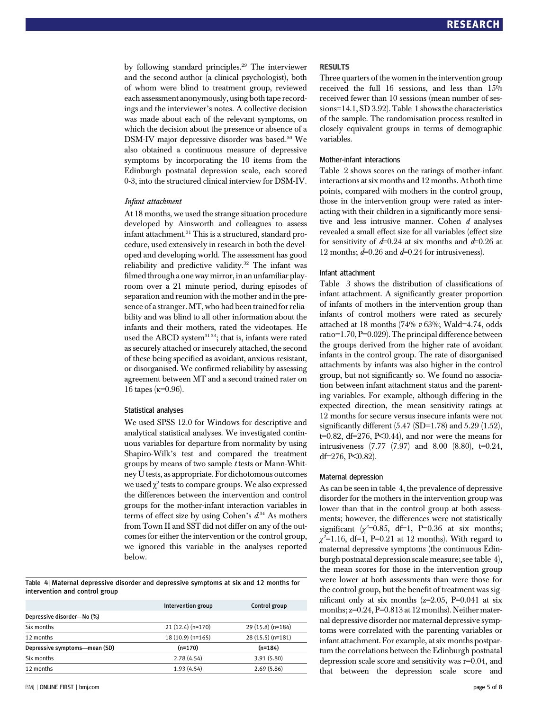by following standard principles.<sup>29</sup> The interviewer and the second author (a clinical psychologist), both of whom were blind to treatment group, reviewed each assessment anonymously, using both tape recordings and the interviewer's notes. A collective decision was made about each of the relevant symptoms, on which the decision about the presence or absence of a DSM-IV major depressive disorder was based.<sup>30</sup> We also obtained a continuous measure of depressive symptoms by incorporating the 10 items from the Edinburgh postnatal depression scale, each scored 0-3, into the structured clinical interview for DSM-IV.

#### Infant attachment

At 18 months, we used the strange situation procedure developed by Ainsworth and colleagues to assess infant attachment.<sup>31</sup> This is a structured, standard procedure, used extensively in research in both the developed and developing world. The assessment has good reliability and predictive validity.<sup>32</sup> The infant was filmed through a one way mirror, in an unfamiliar playroom over a 21 minute period, during episodes of separation and reunion with the mother and in the presence of a stranger.MT, who had been trained for reliability and was blind to all other information about the infants and their mothers, rated the videotapes. He used the ABCD system<sup>3133</sup>; that is, infants were rated as securely attached or insecurely attached, the second of these being specified as avoidant, anxious-resistant, or disorganised. We confirmed reliability by assessing agreement between MT and a second trained rater on 16 tapes ( $κ=0.96$ ).

#### Statistical analyses

We used SPSS 12.0 for Windows for descriptive and analytical statistical analyses. We investigated continuous variables for departure from normality by using Shapiro-Wilk's test and compared the treatment groups by means of two sample  $t$  tests or Mann-Whitney U tests, as appropriate. For dichotomous outcomes we used  $\gamma^2$  tests to compare groups. We also expressed the differences between the intervention and control groups for the mother-infant interaction variables in terms of effect size by using Cohen's  $d^{34}$  As mothers from Town II and SST did not differ on any of the outcomes for either the intervention or the control group, we ignored this variable in the analyses reported below.

Table 4 <sup>|</sup> Maternal depressive disorder and depressive symptoms at six and 12 months for intervention and control group

|                               | Intervention group | Control group     |
|-------------------------------|--------------------|-------------------|
| Depressive disorder-No (%)    |                    |                   |
| Six months                    | $21(12.4)(n=170)$  | 29 (15.8) (n=184) |
| 12 months                     | 18 (10.9) (n=165)  | 28 (15.5) (n=181) |
| Depressive symptoms-mean (SD) | $(n=170)$          | $(n=184)$         |
| Six months                    | 2.78(4.54)         | 3.91(5.80)        |
| 12 months                     | 1.93(4.54)         | 2.69(5.86)        |

#### RESULTS

Three quarters of the women in the intervention group received the full 16 sessions, and less than 15% received fewer than 10 sessions (mean number of sessions=14.1, SD 3.92). Table 1 shows the characteristics of the sample. The randomisation process resulted in closely equivalent groups in terms of demographic variables.

#### Mother-infant interactions

Table 2 shows scores on the ratings of mother-infant interactions at six months and 12 months. At both time points, compared with mothers in the control group, those in the intervention group were rated as interacting with their children in a significantly more sensitive and less intrusive manner. Cohen d analyses revealed a small effect size for all variables (effect size for sensitivity of  $d=0.24$  at six months and  $d=0.26$  at 12 months;  $d=0.26$  and  $d=0.24$  for intrusiveness).

#### Infant attachment

Table 3 shows the distribution of classifications of infant attachment. A significantly greater proportion of infants of mothers in the intervention group than infants of control mothers were rated as securely attached at 18 months  $(74\% \; v \; 63\%; \; Wald=4.74, \; odds$ ratio=1.70, P=0.029). The principal difference between the groups derived from the higher rate of avoidant infants in the control group. The rate of disorganised attachments by infants was also higher in the control group, but not significantly so. We found no association between infant attachment status and the parenting variables. For example, although differing in the expected direction, the mean sensitivity ratings at 12 months for secure versus insecure infants were not significantly different  $(5.47 \text{ (SD=1.78)}$  and  $5.29 \text{ (1.52)}$ .  $t=0.82$ , df=276, P $< 0.44$ ), and nor were the means for intrusiveness (7.77 (7.97) and 8.00 (8.80), t=0.24, df=276, P<0.82).

#### Maternal depression

As can be seen in table 4, the prevalence of depressive disorder for the mothers in the intervention group was lower than that in the control group at both assessments; however, the differences were not statistically significant  $\chi^2$ =0.85, df=1, P=0.36 at six months;  $\chi^2$ =1.16, df=1, P=0.21 at 12 months). With regard to maternal depressive symptoms (the continuous Edinburgh postnatal depression scale measure; see table 4), the mean scores for those in the intervention group were lower at both assessments than were those for the control group, but the benefit of treatment was significant only at six months  $(z=2.05, P=0.041$  at six months;  $z=0.24$ ,  $P=0.813$  at 12 months). Neither maternal depressive disorder nor maternal depressive symptoms were correlated with the parenting variables or infant attachment. For example, at six months postpartum the correlations between the Edinburgh postnatal depression scale score and sensitivity was r=0.04, and that between the depression scale score and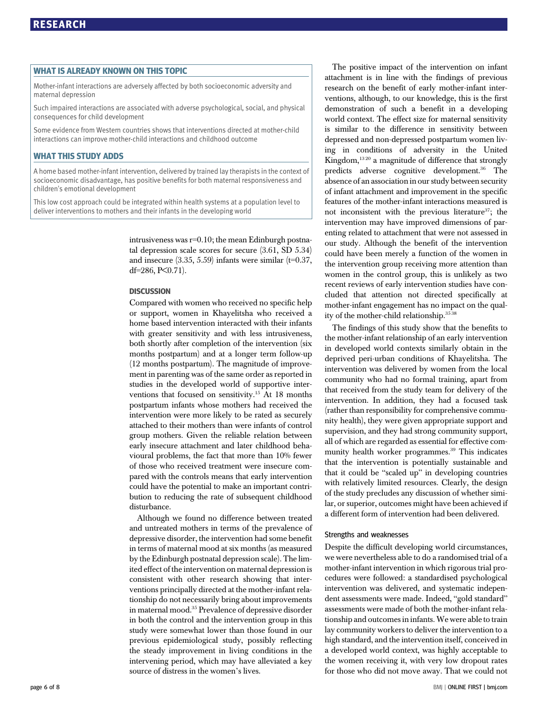#### WHAT IS ALREADY KNOWN ON THIS TOPIC

Mother-infant interactions are adversely affected by both socioeconomic adversity and maternal depression

Such impaired interactions are associated with adverse psychological, social, and physical consequences for child development

Some evidence from Western countries shows that interventions directed at mother-child interactions can improve mother-child interactions and childhood outcome

#### WHAT THIS STUDY ADDS

A home based mother-infant intervention, delivered by trained lay therapists in the context of socioeconomic disadvantage, has positive benefits for both maternal responsiveness and children's emotional development

This low cost approach could be integrated within health systems at a population level to deliver interventions to mothers and their infants in the developing world

> intrusiveness was  $r=0.10$ ; the mean Edinburgh postnatal depression scale scores for secure (3.61, SD 5.34) and insecure  $(3.35, 5.59)$  infants were similar (t=0.37, df=286, P<0.71).

#### **DISCUSSION**

Compared with women who received no specific help or support, women in Khayelitsha who received a home based intervention interacted with their infants with greater sensitivity and with less intrusiveness, both shortly after completion of the intervention (six months postpartum) and at a longer term follow-up (12 months postpartum). The magnitude of improvement in parenting was of the same order as reported in studies in the developed world of supportive interventions that focused on sensitivity.<sup>15</sup> At 18 months postpartum infants whose mothers had received the intervention were more likely to be rated as securely attached to their mothers than were infants of control group mothers. Given the reliable relation between early insecure attachment and later childhood behavioural problems, the fact that more than 10% fewer of those who received treatment were insecure compared with the controls means that early intervention could have the potential to make an important contribution to reducing the rate of subsequent childhood disturbance.

Although we found no difference between treated and untreated mothers in terms of the prevalence of depressive disorder, the intervention had some benefit in terms of maternal mood at six months (as measured by the Edinburgh postnatal depression scale). The limited effect of the intervention on maternal depression is consistent with other research showing that interventions principally directed at the mother-infant relationship do not necessarily bring about improvements in maternal mood.35 Prevalence of depressive disorder in both the control and the intervention group in this study were somewhat lower than those found in our previous epidemiological study, possibly reflecting the steady improvement in living conditions in the intervening period, which may have alleviated a key source of distress in the women's lives.

The positive impact of the intervention on infant attachment is in line with the findings of previous research on the benefit of early mother-infant interventions, although, to our knowledge, this is the first demonstration of such a benefit in a developing world context. The effect size for maternal sensitivity is similar to the difference in sensitivity between depressed and non-depressed postpartum women living in conditions of adversity in the United Kingdom,<sup>1320</sup> a magnitude of difference that strongly predicts adverse cognitive development.<sup>36</sup> The absence of an association in our study between security of infant attachment and improvement in the specific features of the mother-infant interactions measured is not inconsistent with the previous literature<sup>37</sup>; the intervention may have improved dimensions of parenting related to attachment that were not assessed in our study. Although the benefit of the intervention could have been merely a function of the women in the intervention group receiving more attention than women in the control group, this is unlikely as two recent reviews of early intervention studies have concluded that attention not directed specifically at mother-infant engagement has no impact on the quality of the mother-child relationship.<sup>35 38</sup>

The findings of this study show that the benefits to the mother-infant relationship of an early intervention in developed world contexts similarly obtain in the deprived peri-urban conditions of Khayelitsha. The intervention was delivered by women from the local community who had no formal training, apart from that received from the study team for delivery of the intervention. In addition, they had a focused task (rather than responsibility for comprehensive community health), they were given appropriate support and supervision, and they had strong community support, all of which are regarded as essential for effective community health worker programmes.<sup>39</sup> This indicates that the intervention is potentially sustainable and that it could be "scaled up" in developing countries with relatively limited resources. Clearly, the design of the study precludes any discussion of whether similar, or superior, outcomes might have been achieved if a different form of intervention had been delivered.

#### Strengths and weaknesses

Despite the difficult developing world circumstances, we were nevertheless able to do a randomised trial of a mother-infant intervention in which rigorous trial procedures were followed: a standardised psychological intervention was delivered, and systematic independent assessments were made. Indeed, "gold standard" assessments were made of both the mother-infant relationship and outcomes in infants.We were able to train lay community workers to deliver the intervention to a high standard, and the intervention itself, conceived in a developed world context, was highly acceptable to the women receiving it, with very low dropout rates for those who did not move away. That we could not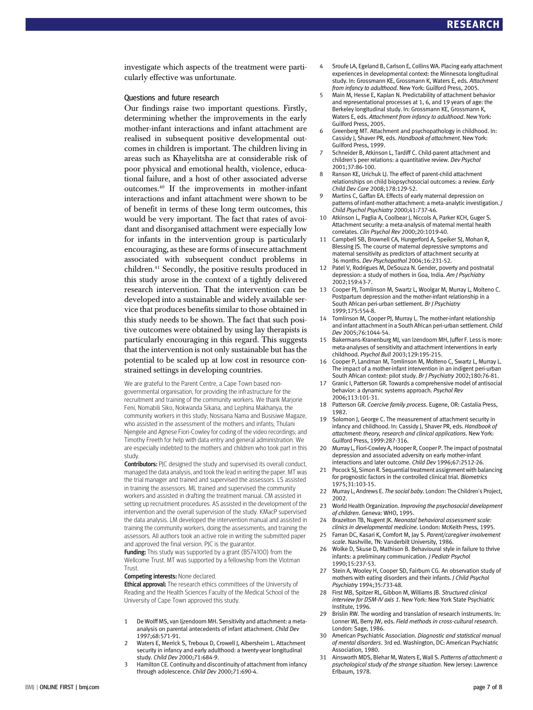investigate which aspects of the treatment were particularly effective was unfortunate.

#### Questions and future research

Our findings raise two important questions. Firstly, determining whether the improvements in the early mother-infant interactions and infant attachment are realised in subsequent positive developmental outcomes in children is important. The children living in areas such as Khayelitsha are at considerable risk of poor physical and emotional health, violence, educational failure, and a host of other associated adverse outcomes.40 If the improvements in mother-infant interactions and infant attachment were shown to be of benefit in terms of these long term outcomes, this would be very important. The fact that rates of avoidant and disorganised attachment were especially low for infants in the intervention group is particularly encouraging, as these are forms of insecure attachment associated with subsequent conduct problems in children.41 Secondly, the positive results produced in this study arose in the context of a tightly delivered research intervention. That the intervention can be developed into a sustainable and widely available service that produces benefits similar to those obtained in this study needs to be shown. The fact that such positive outcomes were obtained by using lay therapists is particularly encouraging in this regard. This suggests that the intervention is not only sustainable but has the potential to be scaled up at low cost in resource constrained settings in developing countries.

We are grateful to the Parent Centre, a Cape Town based nongovernmental organisation, for providing the infrastructure for the recruitment and training of the community workers. We thank Marjorie Feni, Nomabili Siko, Nokwanda Sikana, and Lephina Makhanya, the community workers in this study; Nosisana Nama and Busisiwe Magaze, who assisted in the assessment of the mothers and infants; Thulani Njengele and Agnese Fiori-Cowley for coding of the video recordings; and Timothy Freeth for help with data entry and general administration. We are especially indebted to the mothers and children who took part in this study.

**Contributors:** PIC designed the study and supervised its overall conduct. managed the data analysis, and took the lead in writing the paper. MT was the trial manager and trained and supervised the assessors. LS assisted in training the assessors. ML trained and supervised the community workers and assisted in drafting the treatment manual. CM assisted in setting up recruitment procedures. AS assisted in the development of the intervention and the overall supervision of the study. KMacP supervised the data analysis. LM developed the intervention manual and assisted in training the community workers, doing the assessments, and training the assessors. All authors took an active role in writing the submitted paper and approved the final version. PJC is the guarantor.

Funding: This study was supported by a grant (B574100) from the Wellcome Trust. MT was supported by a fellowship from the Vlotman Trust.

#### Competing interests: None declared.

Ethical approval: The research ethics committees of the University of Reading and the Health Sciences Faculty of the Medical School of the University of Cape Town approved this study.

- 1 De Wolff MS, van Ijzendoorn MH. Sensitivity and attachment: a metaanalysis on parental antecedents of infant attachment. Child Dev 1997;68:571-91.
- Waters E, Merrick S, Treboux D, Crowell J, Albersheim L. Attachment security in infancy and early adulthood: a twenty-year longitudinal study. Child Dev 2000;71:684-9.
- 3 Hamilton CE. Continuity and discontinuity of attachment from infancy through adolescence. Child Dev 2000;71:690-4.
- 4 Sroufe LA, Egeland B, Carlson E, Collins WA. Placing early attachment experiences in developmental context: the Minnesota longitudinal study. In: Grossmann KE, Grossmann K, Waters E, eds. Attachment from infancy to adulthood. New York: Guilford Press, 2005.
- Main M, Hesse E, Kaplan N. Predictability of attachment behavior and representational processes at 1, 6, and 19 years of age: the Berkeley longitudinal study. In: Grossmann KE, Grossmann K, Waters E, eds. Attachment from infancy to adulthood. New York: Guilford Press, 2005.
- 6 Greenberg MT. Attachment and psychopathology in childhood. In: Cassidy J, Shaver PR, eds. Handbook of attachment. New York: Guilford Press, 1999.
- 7 Schneider B, Atkinson L, Tardiff C. Child-parent attachment and children's peer relations: a quantitative review. Dev Psychol 2001;37:86-100.
- 8 Ranson KE, Urichuk LJ. The effect of parent-child attachment relationships on child biopsychosocial outcomes: a review. Early Child Dev Care 2008;178:129-52.
- Martins C, Gaffan EA. Effects of early maternal depression on patterns of infant-mother attachment: a meta-analytic investigation. J Child Psychol Psychiatry 2000;41:737-46.
- 10 Atkinson L, Paglia A, Coolbear J, Niccols A, Parker KCH, Guger S. Attachment security: a meta-analysis of maternal mental health correlates. Clin Psychol Rev 2000;20:1019-40.
- 11 Campbell SB, Brownell CA, Hungerford A, Speiker SJ, Mohan R, Blessing JS. The course of maternal depressive symptoms and maternal sensitivity as predictors of attachment security at 36 months. Dev Psychopathol 2004;16:231-52.
- 12 Patel V, Rodrigues M, DeSouza N. Gender, poverty and postnatal depression: a study of mothers in Goa, India. Am J Psychiatry 2002;159:43-7.
- 13 Cooper PJ, Tomlinson M, Swartz L, Woolgar M, Murray L, Molteno C. Postpartum depression and the mother-infant relationship in a South African peri-urban settlement. Br J Psychiatry 1999;175:554-8.
- 14 Tomlinson M, Cooper PJ, Murray L. The mother-infant relationship and infant attachment in a South African peri-urban settlement. Child Dev 2005;76:1044-54.
- 15 Bakermans-Kranenburg MJ, van Izendoorn MH, Juffer F. Less is more: meta-analyses of sensitivity and attachment interventions in early childhood. Psychol Bull 2003;129:195-215.
- 16 Cooper P, Landman M, Tomlinson M, Molteno C, Swartz L, Murray L. The impact of a mother-infant intervention in an indigent peri-urban South African context: pilot study. Br J Psychiatry 2002;180:76-81.
- 17 Granic I, Patterson GR. Towards a comprehensive model of antisocial behavior: a dynamic systems approach. Psychol Rev 2006;113:101-31.
- 18 Patterson GR. Coercive family process. Eugene, OR: Castalia Press, 1982.
- 19 Solomon J, George C. The measurement of attachment security in infancy and childhood. In: Cassidy J, Shaver PR, eds. Handbook of attachment: theory, research and clinical applications. New York: Guilford Press, 1999:287-316.
- 20 Murray L, Fiori-Cowley A, Hooper R, Cooper P. The impact of postnatal depression and associated adversity on early mother-infant interactions and later outcome. Child Dev 1996;67:2512-26.
- 21 Pocock SJ, Simon R. Sequential treatment assignment with balancing for prognostic factors in the controlled clinical trial. Biometrics 1975;31:103-15.
- 22 Murray L, Andrews E. The social baby. London: The Children's Project, 2002.
- 23 World Health Organization. Improving the psychosocial development of children. Geneva: WHO, 1995.
- 24 Brazelton TB, Nugent JK. Neonatal behavioral assessment scale: clinics in developmental medicine. London: McKeith Press, 1995.
- 25 Farran DC, Kasari K, Comfort M, Jay S. Parent/caregiver involvement scale. Nashville, TN: Vanderbilt University, 1986.
- 26 Wolke D, Skuse D, Mathison B. Behavioural style in failure to thrive infants: a preliminary communication. J Pediatr Psychol 1990;15:237-53.
- 27 Stein A, Wooley H, Cooper SD, Fairburn CG. An observation study of mothers with eating disorders and their infants. J Child Psychol Psychiatry 1994;35:733-48.
- 28 First MB, Spitzer RL, Gibbon M, Williams JB. Structured clinical interview for DSM-IV axis 1. New York: New York State Psychiatric Institute, 1996.
- 29 Brislin RW. The wording and translation of research instruments. In: Lonner WJ, Berry JW, eds. Field methods in cross-cultural research. London: Sage, 1986.
- 30 American Psychiatric Association. Diagnostic and statistical manual of mental disorders. 3rd ed. Washington, DC: American Psychiatric Association, 1980.
- Ainsworth MDS, Blehar M, Waters E, Wall S. Patterns of attachment: a psychological study of the strange situation. New Jersey: Lawrence Erlbaum, 1978.